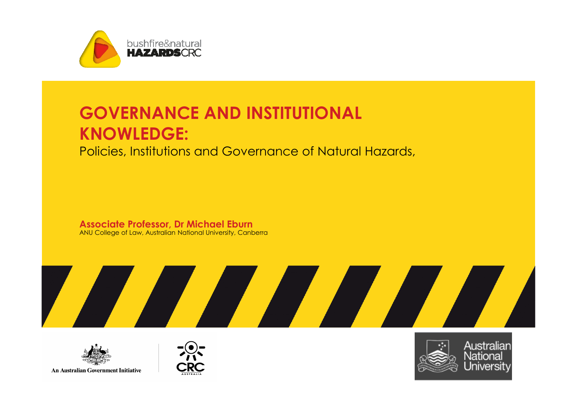

### GOVERNANCE AND INSTITUTIONAL KNOWLEDGE:

Policies, Institutions and Governance of Natural Hazards,

**Associate Professor, Dr Michael Eburn**<br>ANU College of Law, Australian National University, Canberra





An Australian Government Initiative



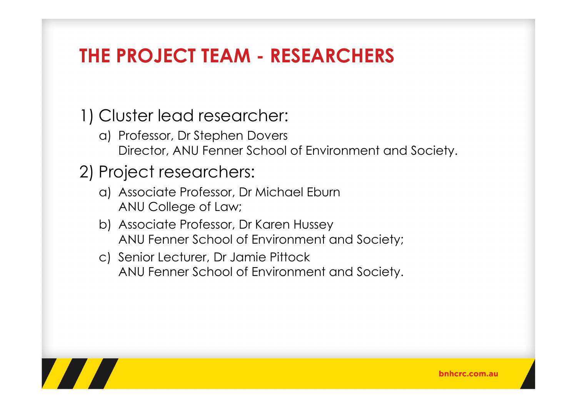## THE PROJECT TEAM - RESEARCHERS

1) Cluster lead researcher:

- a) Professor, Dr Stephen Dovers Director, ANU Fenner School of Environment and Society.
- 2) Project researchers:
	- a) Associate Professor, Dr Michael Eburn ANU College of Law;
	- b) Associate Professor, Dr Karen Hussey ANU Fenner School of Environment and Society;
	- c) Senior Lecturer, Dr Jamie Pittock ANU Fenner School of Environment and Society.

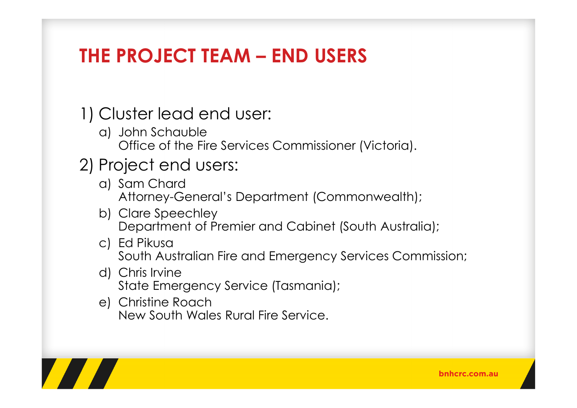## THE PROJECT TEAM – END USERS

1) Cluster lead end user:

a) John Schauble Office of the Fire Services Commissioner (Victoria).

#### 2) Project end users:

- a) Sam Chard Attorney-General's Department (Commonwealth);
- b) Clare Speechley Department of Premier and Cabinet (South Australia);
- c) Ed Pikusa South Australian Fire and Emergency Services Commission;
- d) Chris Irvine State Emergency Service (Tasmania);
- e) Christine Roach New South Wales Rural Fire Service.

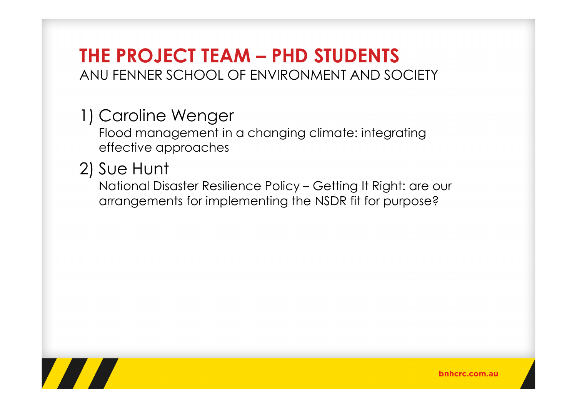### THE PROJECT TEAM – PHD STUDENTS ANU FENNER SCHOOL OF ENVIRONMENT AND SOCIETY

### 1) Caroline Wenger

Flood management in a changing climate: integratingeffective approaches

### 2) Sue Hunt

National Disaster Resilience Policy – Getting It Right: are our arrangements for implementing the NSDR fit for purpose?



bnhcrc.com.au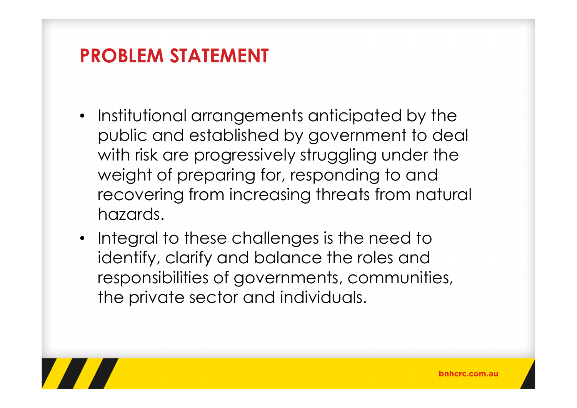# PROBLEM STATEMENT

- Institutional arrangements anticipated by the public and established by government to deal with risk are progressively struggling under the weight of preparing for, responding to and recovering from increasing threats from natural hazards.
- Integral to these challenges is the need to identify, clarify and balance the roles and responsibilities of governments, communities, the private sector and individuals.

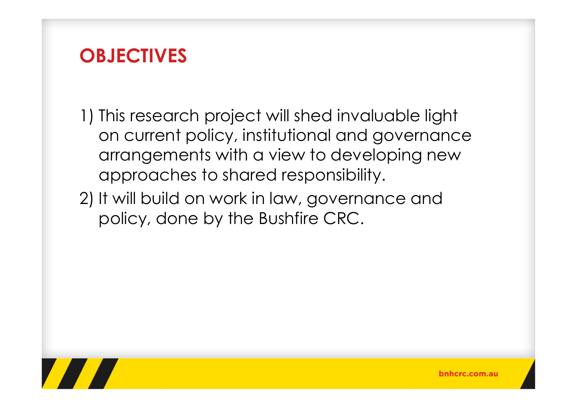### **OBJECTIVES**

- 1) This research project will shed invaluable light on current policy, institutional and governance arrangements with a view to developing new approaches to shared responsibility.
- 2) It will build on work in law, governance and policy, done by the Bushfire CRC.

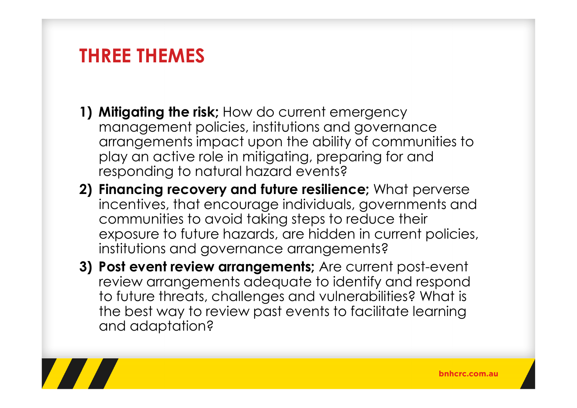### THREE THEMES

- 1) Mitigating the risk; How do current emergency management policies, institutions and governance arrangements impact upon the ability of communities to play an active role in mitigating, preparing for and responding to natural hazard events?
- 2) Financing recovery and future resilience; What perverse incentives, that encourage individuals, governments and communities to avoid taking steps to reduce their exposure to future hazards, are hidden in current policies, institutions and governance arrangements?
- 3) Post event review arrangements; Are current post-event review arrangements adequate to identify and respond to future threats, challenges and vulnerabilities? What is the best way to review past events to facilitate learning and adaptation?

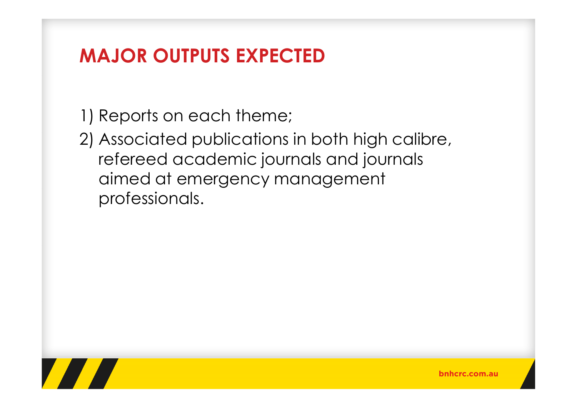# MAJOR OUTPUTS EXPECTED

1) Reports on each theme;

2) Associated publications in both high calibre, refereed academic journals and journals aimed at emergency management professionals.

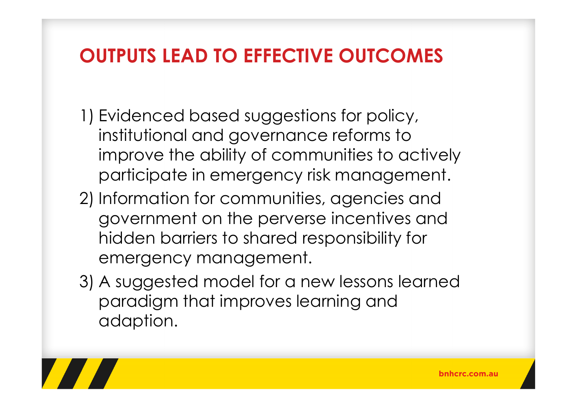# OUTPUTS LEAD TO EFFECTIVE OUTCOMES

- 1) Evidenced based suggestions for policy, institutional and governance reforms to improve the ability of communities to actively participate in emergency risk management.
- 2) Information for communities, agencies and government on the perverse incentives and hidden barriers to shared responsibility for emergency management.
- 3) A suggested model for a new lessons learned paradigm that improves learning and adaption.